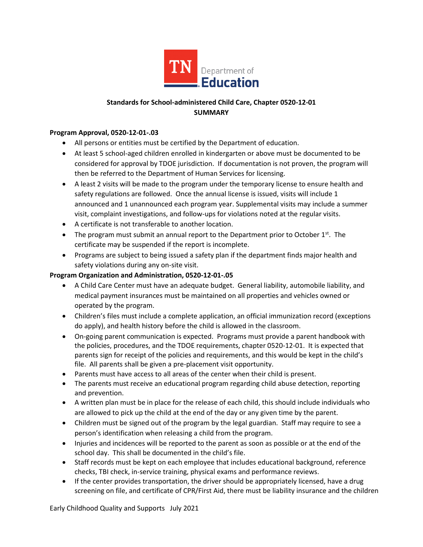

# **Standards for School-administered Child Care, Chapter 0520-12-01 SUMMARY**

## **Program Approval, 0520-12-01-.03**

- All persons or entities must be certified by the Department of education.
- At least 5 school-aged children enrolled in kindergarten or above must be documented to be considered for approval by TDOE jurisdiction. If documentation is not proven, the program will then be referred to the Department of Human Services for licensing.
- A least 2 visits will be made to the program under the temporary license to ensure health and safety regulations are followed. Once the annual license is issued, visits will include 1 announced and 1 unannounced each program year. Supplemental visits may include a summer visit, complaint investigations, and follow-ups for violations noted at the regular visits.
- A certificate is not transferable to another location.
- The program must submit an annual report to the Department prior to October  $1^{st}$ . The certificate may be suspended if the report is incomplete.
- Programs are subject to being issued a safety plan if the department finds major health and safety violations during any on-site visit.

## **Program Organization and Administration, 0520-12-01-.05**

- A Child Care Center must have an adequate budget. General liability, automobile liability, and medical payment insurances must be maintained on all properties and vehicles owned or operated by the program.
- Children's files must include a complete application, an official immunization record (exceptions do apply), and health history before the child is allowed in the classroom.
- On-going parent communication is expected. Programs must provide a parent handbook with the policies, procedures, and the TDOE requirements, chapter 0520-12-01. It is expected that parents sign for receipt of the policies and requirements, and this would be kept in the child's file. All parents shall be given a pre-placement visit opportunity.
- Parents must have access to all areas of the center when their child is present.
- The parents must receive an educational program regarding child abuse detection, reporting and prevention.
- A written plan must be in place for the release of each child, this should include individuals who are allowed to pick up the child at the end of the day or any given time by the parent.
- Children must be signed out of the program by the legal guardian. Staff may require to see a person's identification when releasing a child from the program.
- Injuries and incidences will be reported to the parent as soon as possible or at the end of the school day. This shall be documented in the child's file.
- Staff records must be kept on each employee that includes educational background, reference checks, TBI check, in-service training, physical exams and performance reviews.
- If the center provides transportation, the driver should be appropriately licensed, have a drug screening on file, and certificate of CPR/First Aid, there must be liability insurance and the children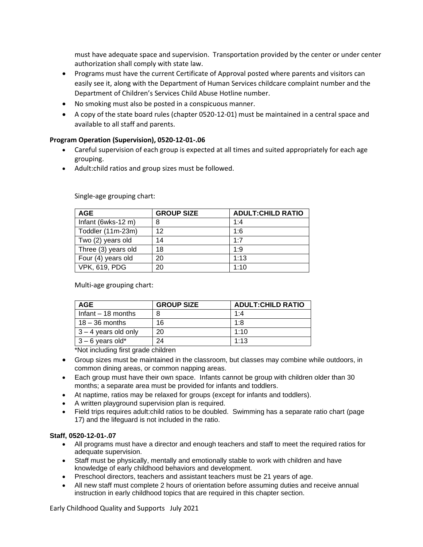must have adequate space and supervision. Transportation provided by the center or under center authorization shall comply with state law.

- Programs must have the current Certificate of Approval posted where parents and visitors can easily see it, along with the Department of Human Services childcare complaint number and the Department of Children's Services Child Abuse Hotline number.
- No smoking must also be posted in a conspicuous manner.
- A copy of the state board rules (chapter 0520-12-01) must be maintained in a central space and available to all staff and parents.

## **Program Operation (Supervision), 0520-12-01-.06**

- Careful supervision of each group is expected at all times and suited appropriately for each age grouping.
- Adult:child ratios and group sizes must be followed.

Single-age grouping chart:

| <b>AGE</b>           | <b>GROUP SIZE</b> | <b>ADULT:CHILD RATIO</b> |
|----------------------|-------------------|--------------------------|
| Infant (6wks-12 m)   | 8                 | 1:4                      |
| Toddler (11m-23m)    | 12                | 1:6                      |
| Two (2) years old    | 14                | 1:7                      |
| Three (3) years old  | 18                | 1:9                      |
| Four (4) years old   | 20                | 1:13                     |
| <b>VPK, 619, PDG</b> | 20                | 1:10                     |

Multi-age grouping chart:

| AGE                    | <b>GROUP SIZE</b> | <b>ADULT: CHILD RATIO</b> |
|------------------------|-------------------|---------------------------|
| Infant $-18$ months    | 8                 | 1:4                       |
| $18 - 36$ months       | 16                | 1.8                       |
| $3 - 4$ years old only | 20                | 1:10                      |
| $3 - 6$ years old*     | 24                | 1:13                      |

\*Not including first grade children

- Group sizes must be maintained in the classroom, but classes may combine while outdoors, in common dining areas, or common napping areas.
- Each group must have their own space. Infants cannot be group with children older than 30 months; a separate area must be provided for infants and toddlers.
- At naptime, ratios may be relaxed for groups (except for infants and toddlers).
- A written playground supervision plan is required.
- Field trips requires adult:child ratios to be doubled. Swimming has a separate ratio chart (page 17) and the lifeguard is not included in the ratio.

#### **Staff, 0520-12-01-.07**

- All programs must have a director and enough teachers and staff to meet the required ratios for adequate supervision.
- Staff must be physically, mentally and emotionally stable to work with children and have knowledge of early childhood behaviors and development.
- Preschool directors, teachers and assistant teachers must be 21 years of age.
- All new staff must complete 2 hours of orientation before assuming duties and receive annual instruction in early childhood topics that are required in this chapter section.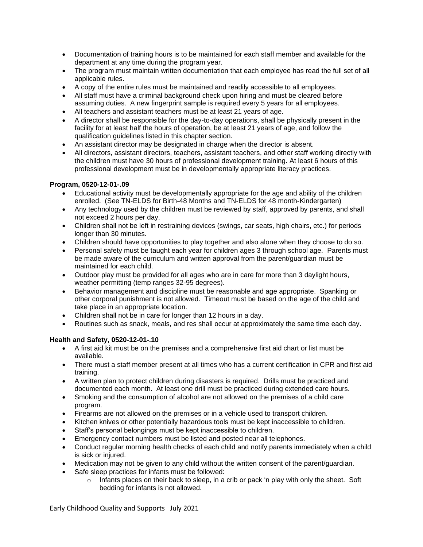- Documentation of training hours is to be maintained for each staff member and available for the department at any time during the program year.
- The program must maintain written documentation that each employee has read the full set of all applicable rules.
- A copy of the entire rules must be maintained and readily accessible to all employees.
- All staff must have a criminal background check upon hiring and must be cleared before assuming duties. A new fingerprint sample is required every 5 years for all employees.
- All teachers and assistant teachers must be at least 21 years of age.
- A director shall be responsible for the day-to-day operations, shall be physically present in the facility for at least half the hours of operation, be at least 21 years of age, and follow the qualification guidelines listed in this chapter section.
- An assistant director may be designated in charge when the director is absent.
- All directors, assistant directors, teachers, assistant teachers, and other staff working directly with the children must have 30 hours of professional development training. At least 6 hours of this professional development must be in developmentally appropriate literacy practices.

## **Program, 0520-12-01-.09**

- Educational activity must be developmentally appropriate for the age and ability of the children enrolled. (See TN-ELDS for Birth-48 Months and TN-ELDS for 48 month-Kindergarten)
- Any technology used by the children must be reviewed by staff, approved by parents, and shall not exceed 2 hours per day.
- Children shall not be left in restraining devices (swings, car seats, high chairs, etc.) for periods longer than 30 minutes.
- Children should have opportunities to play together and also alone when they choose to do so.
- Personal safety must be taught each year for children ages 3 through school age. Parents must be made aware of the curriculum and written approval from the parent/guardian must be maintained for each child.
- Outdoor play must be provided for all ages who are in care for more than 3 daylight hours, weather permitting (temp ranges 32-95 degrees).
- Behavior management and discipline must be reasonable and age appropriate. Spanking or other corporal punishment is not allowed. Timeout must be based on the age of the child and take place in an appropriate location.
- Children shall not be in care for longer than 12 hours in a day.
- Routines such as snack, meals, and res shall occur at approximately the same time each day.

## **Health and Safety, 0520-12-01-.10**

- A first aid kit must be on the premises and a comprehensive first aid chart or list must be available.
- There must a staff member present at all times who has a current certification in CPR and first aid training.
- A written plan to protect children during disasters is required. Drills must be practiced and documented each month. At least one drill must be practiced during extended care hours.
- Smoking and the consumption of alcohol are not allowed on the premises of a child care program.
- Firearms are not allowed on the premises or in a vehicle used to transport children.
- Kitchen knives or other potentially hazardous tools must be kept inaccessible to children.
- Staff's personal belongings must be kept inaccessible to children.
- Emergency contact numbers must be listed and posted near all telephones.
- Conduct regular morning health checks of each child and notify parents immediately when a child is sick or injured.
- Medication may not be given to any child without the written consent of the parent/guardian.
- Safe sleep practices for infants must be followed:
	- $\circ$  Infants places on their back to sleep, in a crib or pack 'n play with only the sheet. Soft bedding for infants is not allowed.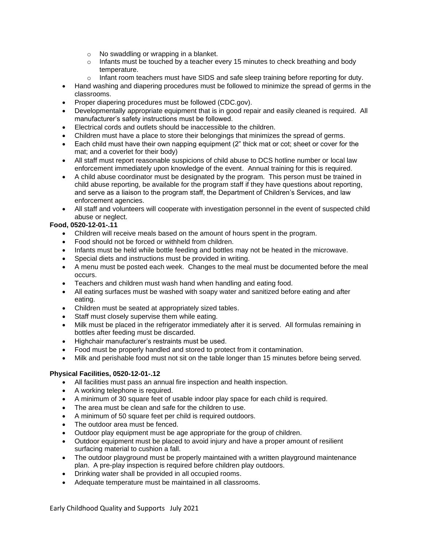- o No swaddling or wrapping in a blanket.
- $\circ$  Infants must be touched by a teacher every 15 minutes to check breathing and body temperature.
- $\circ$  Infant room teachers must have SIDS and safe sleep training before reporting for duty.
- Hand washing and diapering procedures must be followed to minimize the spread of germs in the classrooms.
- Proper diapering procedures must be followed (CDC.gov).
- Developmentally appropriate equipment that is in good repair and easily cleaned is required. All manufacturer's safety instructions must be followed.
- Electrical cords and outlets should be inaccessible to the children.
- Children must have a place to store their belongings that minimizes the spread of germs.
- Each child must have their own napping equipment (2" thick mat or cot; sheet or cover for the mat; and a coverlet for their body)
- All staff must report reasonable suspicions of child abuse to DCS hotline number or local law enforcement immediately upon knowledge of the event. Annual training for this is required.
- A child abuse coordinator must be designated by the program. This person must be trained in child abuse reporting, be available for the program staff if they have questions about reporting, and serve as a liaison to the program staff, the Department of Children's Services, and law enforcement agencies.
- All staff and volunteers will cooperate with investigation personnel in the event of suspected child abuse or neglect.

## **Food, 0520-12-01-.11**

- Children will receive meals based on the amount of hours spent in the program.
- Food should not be forced or withheld from children.
- Infants must be held while bottle feeding and bottles may not be heated in the microwave.
- Special diets and instructions must be provided in writing.
- A menu must be posted each week. Changes to the meal must be documented before the meal occurs.
- Teachers and children must wash hand when handling and eating food.
- All eating surfaces must be washed with soapy water and sanitized before eating and after eating.
- Children must be seated at appropriately sized tables.
- Staff must closely supervise them while eating.
- Milk must be placed in the refrigerator immediately after it is served. All formulas remaining in bottles after feeding must be discarded.
- Highchair manufacturer's restraints must be used.
- Food must be properly handled and stored to protect from it contamination.
- Milk and perishable food must not sit on the table longer than 15 minutes before being served.

## **Physical Facilities, 0520-12-01-.12**

- All facilities must pass an annual fire inspection and health inspection.
- A working telephone is required.
- A minimum of 30 square feet of usable indoor play space for each child is required.
- The area must be clean and safe for the children to use.
- A minimum of 50 square feet per child is required outdoors.
- The outdoor area must be fenced.
- Outdoor play equipment must be age appropriate for the group of children.
- Outdoor equipment must be placed to avoid injury and have a proper amount of resilient surfacing material to cushion a fall.
- The outdoor playground must be properly maintained with a written playground maintenance plan. A pre-play inspection is required before children play outdoors.
- Drinking water shall be provided in all occupied rooms.
- Adequate temperature must be maintained in all classrooms.